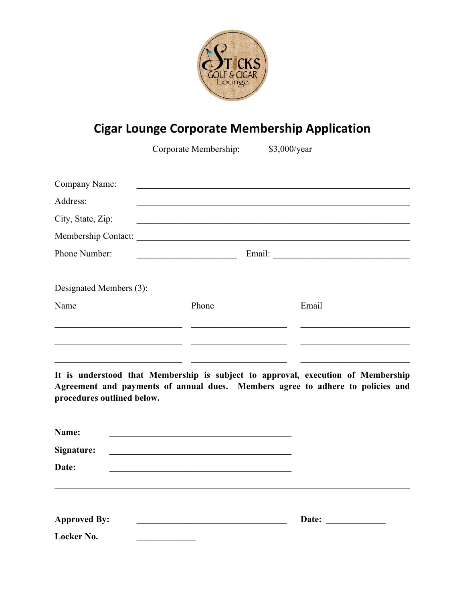

## **Cigar Lounge Corporate Membership Application**

Corporate Membership: \$3,000/year

| Company Name:           |                     |                                       |  |
|-------------------------|---------------------|---------------------------------------|--|
| Address:                |                     |                                       |  |
| City, State, Zip:       |                     |                                       |  |
|                         | Membership Contact: |                                       |  |
| Phone Number:           |                     | Email: <u>_______________________</u> |  |
|                         |                     |                                       |  |
| Designated Members (3): |                     |                                       |  |
| Name                    | Phone               | Email                                 |  |
|                         |                     |                                       |  |
|                         |                     |                                       |  |
|                         |                     |                                       |  |

**It is understood that Membership is subject to approval, execution of Membership Agreement and payments of annual dues. Members agree to adhere to policies and procedures outlined below.** 

| Name:               |       |                                                                                                                       |
|---------------------|-------|-----------------------------------------------------------------------------------------------------------------------|
| Signature:          |       |                                                                                                                       |
| Date:               |       |                                                                                                                       |
|                     |       |                                                                                                                       |
| <b>Approved By:</b> | Date: | <u> a componente de la propincia de la propincia de la propincia de la propincia de la propincia de la propincia </u> |
| Locker No.          |       |                                                                                                                       |